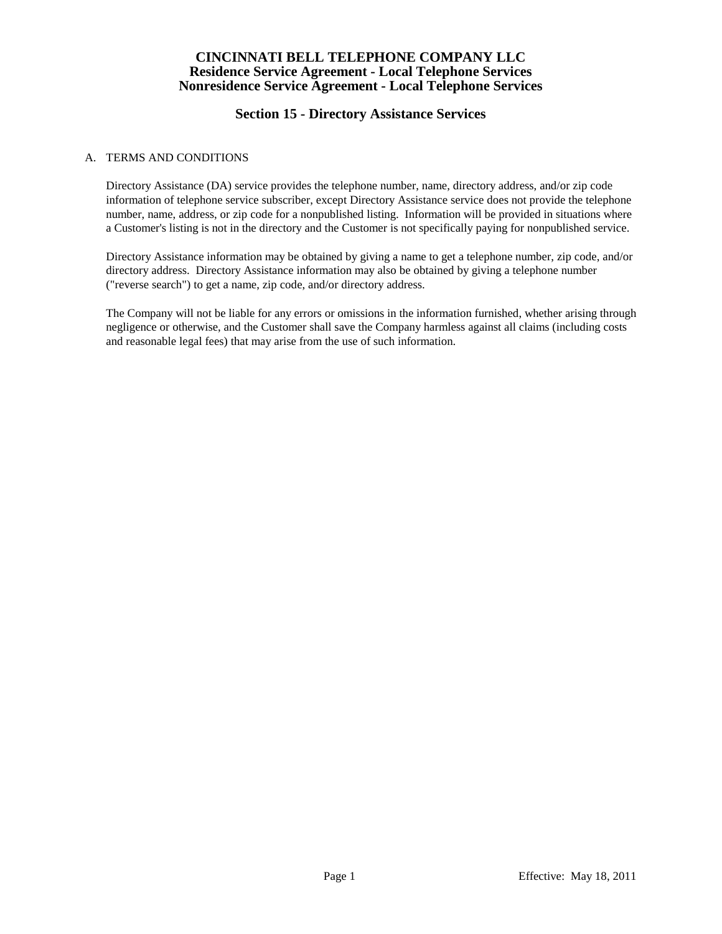# **Section 15 - Directory Assistance Services**

### A. TERMS AND CONDITIONS

Directory Assistance (DA) service provides the telephone number, name, directory address, and/or zip code information of telephone service subscriber, except Directory Assistance service does not provide the telephone number, name, address, or zip code for a nonpublished listing. Information will be provided in situations where a Customer's listing is not in the directory and the Customer is not specifically paying for nonpublished service.

Directory Assistance information may be obtained by giving a name to get a telephone number, zip code, and/or directory address. Directory Assistance information may also be obtained by giving a telephone number ("reverse search") to get a name, zip code, and/or directory address.

The Company will not be liable for any errors or omissions in the information furnished, whether arising through negligence or otherwise, and the Customer shall save the Company harmless against all claims (including costs and reasonable legal fees) that may arise from the use of such information.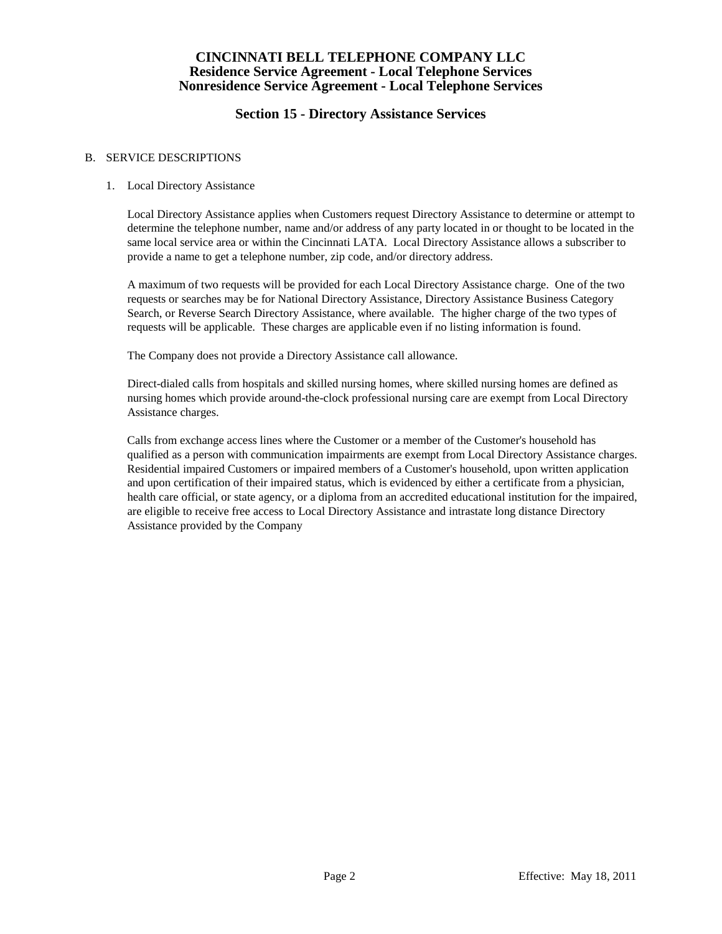# **Section 15 - Directory Assistance Services**

#### B. SERVICE DESCRIPTIONS

#### 1. Local Directory Assistance

Local Directory Assistance applies when Customers request Directory Assistance to determine or attempt to determine the telephone number, name and/or address of any party located in or thought to be located in the same local service area or within the Cincinnati LATA. Local Directory Assistance allows a subscriber to provide a name to get a telephone number, zip code, and/or directory address.

A maximum of two requests will be provided for each Local Directory Assistance charge. One of the two requests or searches may be for National Directory Assistance, Directory Assistance Business Category Search, or Reverse Search Directory Assistance, where available. The higher charge of the two types of requests will be applicable. These charges are applicable even if no listing information is found.

The Company does not provide a Directory Assistance call allowance.

Direct-dialed calls from hospitals and skilled nursing homes, where skilled nursing homes are defined as nursing homes which provide around-the-clock professional nursing care are exempt from Local Directory Assistance charges.

Calls from exchange access lines where the Customer or a member of the Customer's household has qualified as a person with communication impairments are exempt from Local Directory Assistance charges. Residential impaired Customers or impaired members of a Customer's household, upon written application and upon certification of their impaired status, which is evidenced by either a certificate from a physician, health care official, or state agency, or a diploma from an accredited educational institution for the impaired, are eligible to receive free access to Local Directory Assistance and intrastate long distance Directory Assistance provided by the Company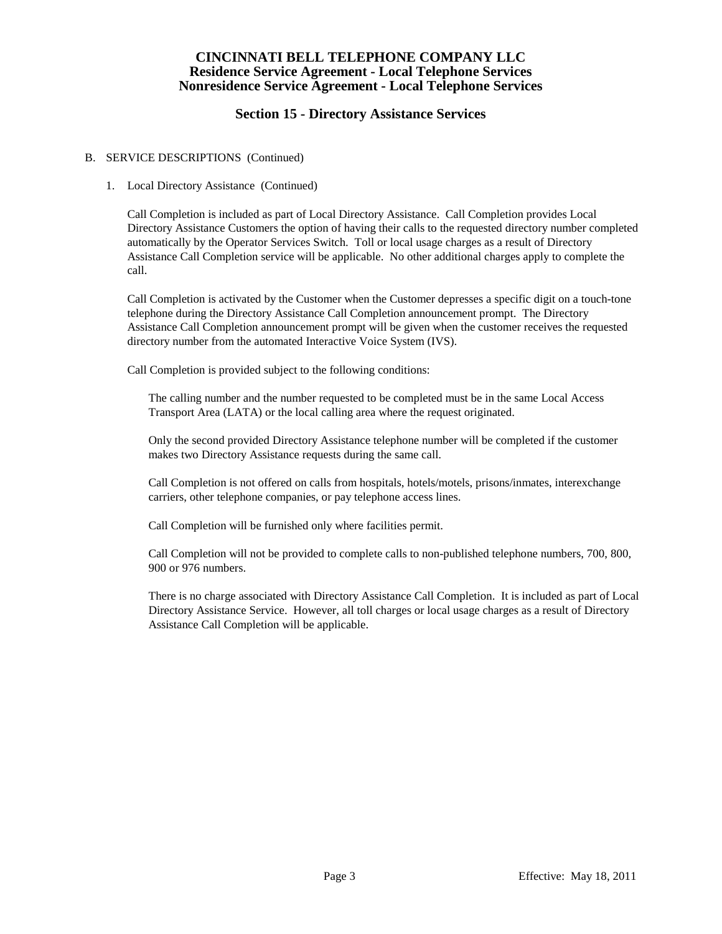# **Section 15 - Directory Assistance Services**

### B. SERVICE DESCRIPTIONS (Continued)

#### 1. Local Directory Assistance (Continued)

Call Completion is included as part of Local Directory Assistance. Call Completion provides Local Directory Assistance Customers the option of having their calls to the requested directory number completed automatically by the Operator Services Switch. Toll or local usage charges as a result of Directory Assistance Call Completion service will be applicable. No other additional charges apply to complete the call.

Call Completion is activated by the Customer when the Customer depresses a specific digit on a touch-tone telephone during the Directory Assistance Call Completion announcement prompt. The Directory Assistance Call Completion announcement prompt will be given when the customer receives the requested directory number from the automated Interactive Voice System (IVS).

Call Completion is provided subject to the following conditions:

The calling number and the number requested to be completed must be in the same Local Access Transport Area (LATA) or the local calling area where the request originated.

Only the second provided Directory Assistance telephone number will be completed if the customer makes two Directory Assistance requests during the same call.

Call Completion is not offered on calls from hospitals, hotels/motels, prisons/inmates, interexchange carriers, other telephone companies, or pay telephone access lines.

Call Completion will be furnished only where facilities permit.

Call Completion will not be provided to complete calls to non-published telephone numbers, 700, 800, 900 or 976 numbers.

There is no charge associated with Directory Assistance Call Completion. It is included as part of Local Directory Assistance Service. However, all toll charges or local usage charges as a result of Directory Assistance Call Completion will be applicable.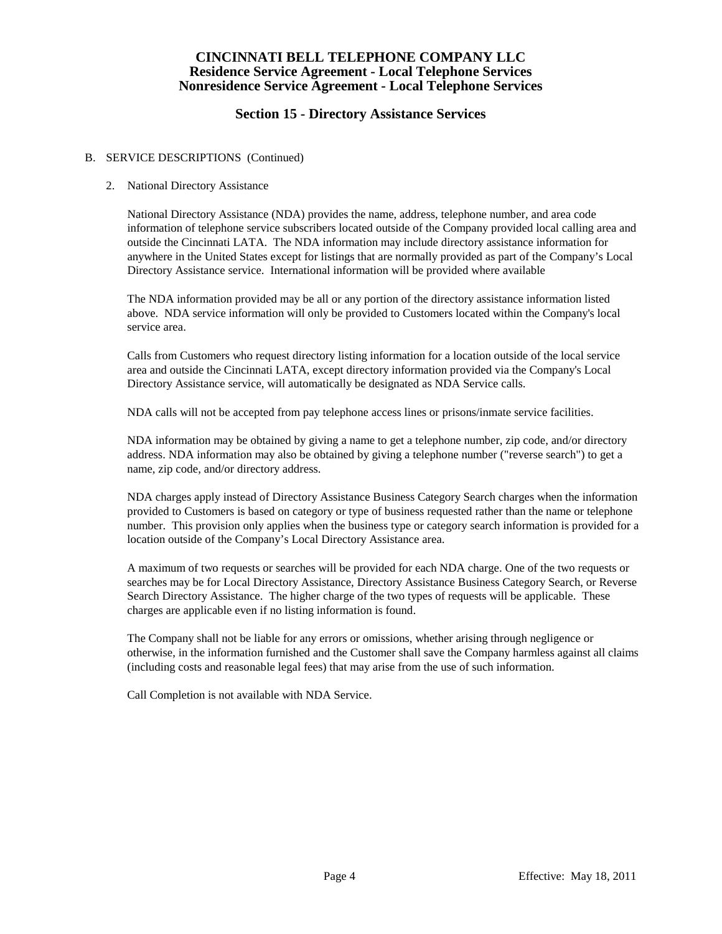# **Section 15 - Directory Assistance Services**

### B. SERVICE DESCRIPTIONS (Continued)

#### 2. National Directory Assistance

National Directory Assistance (NDA) provides the name, address, telephone number, and area code information of telephone service subscribers located outside of the Company provided local calling area and outside the Cincinnati LATA. The NDA information may include directory assistance information for anywhere in the United States except for listings that are normally provided as part of the Company's Local Directory Assistance service. International information will be provided where available

The NDA information provided may be all or any portion of the directory assistance information listed above. NDA service information will only be provided to Customers located within the Company's local service area.

Calls from Customers who request directory listing information for a location outside of the local service area and outside the Cincinnati LATA, except directory information provided via the Company's Local Directory Assistance service, will automatically be designated as NDA Service calls.

NDA calls will not be accepted from pay telephone access lines or prisons/inmate service facilities.

NDA information may be obtained by giving a name to get a telephone number, zip code, and/or directory address. NDA information may also be obtained by giving a telephone number ("reverse search") to get a name, zip code, and/or directory address.

NDA charges apply instead of Directory Assistance Business Category Search charges when the information provided to Customers is based on category or type of business requested rather than the name or telephone number. This provision only applies when the business type or category search information is provided for a location outside of the Company's Local Directory Assistance area.

A maximum of two requests or searches will be provided for each NDA charge. One of the two requests or searches may be for Local Directory Assistance, Directory Assistance Business Category Search, or Reverse Search Directory Assistance. The higher charge of the two types of requests will be applicable. These charges are applicable even if no listing information is found.

The Company shall not be liable for any errors or omissions, whether arising through negligence or otherwise, in the information furnished and the Customer shall save the Company harmless against all claims (including costs and reasonable legal fees) that may arise from the use of such information.

Call Completion is not available with NDA Service.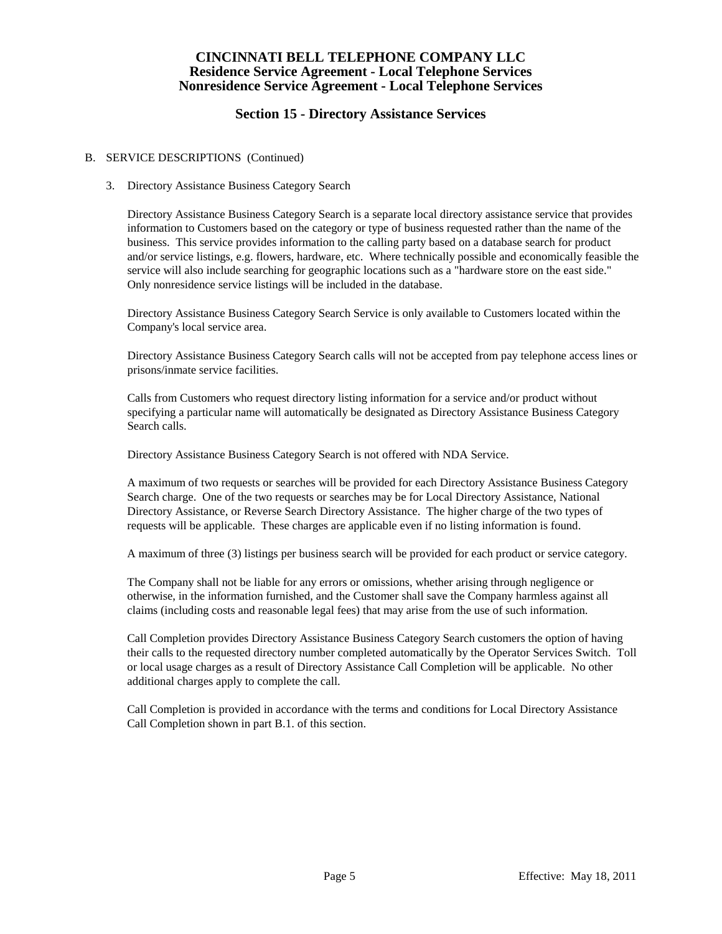# **Section 15 - Directory Assistance Services**

#### B. SERVICE DESCRIPTIONS (Continued)

#### 3. Directory Assistance Business Category Search

Directory Assistance Business Category Search is a separate local directory assistance service that provides information to Customers based on the category or type of business requested rather than the name of the business. This service provides information to the calling party based on a database search for product and/or service listings, e.g. flowers, hardware, etc. Where technically possible and economically feasible the service will also include searching for geographic locations such as a "hardware store on the east side." Only nonresidence service listings will be included in the database.

Directory Assistance Business Category Search Service is only available to Customers located within the Company's local service area.

Directory Assistance Business Category Search calls will not be accepted from pay telephone access lines or prisons/inmate service facilities.

Calls from Customers who request directory listing information for a service and/or product without specifying a particular name will automatically be designated as Directory Assistance Business Category Search calls.

Directory Assistance Business Category Search is not offered with NDA Service.

A maximum of two requests or searches will be provided for each Directory Assistance Business Category Search charge. One of the two requests or searches may be for Local Directory Assistance, National Directory Assistance, or Reverse Search Directory Assistance. The higher charge of the two types of requests will be applicable. These charges are applicable even if no listing information is found.

A maximum of three (3) listings per business search will be provided for each product or service category.

The Company shall not be liable for any errors or omissions, whether arising through negligence or otherwise, in the information furnished, and the Customer shall save the Company harmless against all claims (including costs and reasonable legal fees) that may arise from the use of such information.

Call Completion provides Directory Assistance Business Category Search customers the option of having their calls to the requested directory number completed automatically by the Operator Services Switch. Toll or local usage charges as a result of Directory Assistance Call Completion will be applicable. No other additional charges apply to complete the call.

Call Completion is provided in accordance with the terms and conditions for Local Directory Assistance Call Completion shown in part B.1. of this section.